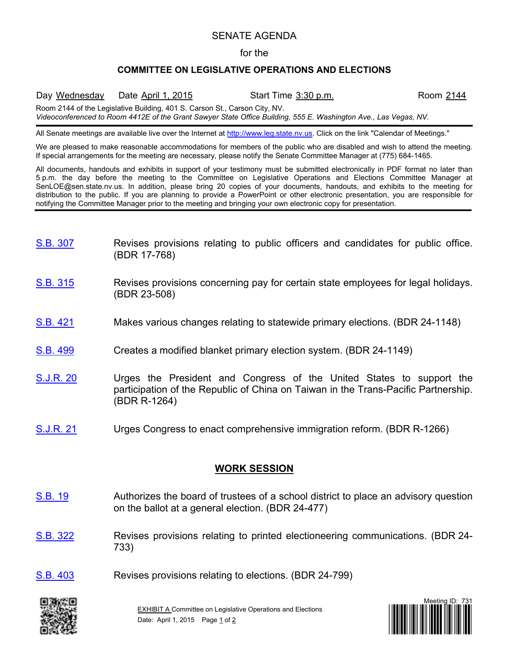## SENATE AGENDA

## for the

## **COMMITTEE ON LEGISLATIVE OPERATIONS AND ELECTIONS**

Day Wednesday Date April 1, 2015 Start Time 3:30 p.m. Room 2144 Room 2144 of the Legislative Building, 401 S. Carson St., Carson City, NV. *Videoconferenced to Room 4412E of the Grant Sawyer State Office Building, 555 E. Washington Ave., Las Vegas, NV.*

All Senate meetings are available live over the Internet at [http://www.leg.state.nv.us.](http://www.leg.state.nv.us/) Click on the link "Calendar of Meetings."

We are pleased to make reasonable accommodations for members of the public who are disabled and wish to attend the meeting. If special arrangements for the meeting are necessary, please notify the Senate Committee Manager at (775) 684-1465.

All documents, handouts and exhibits in support of your testimony must be submitted electronically in PDF format no later than 5 p.m. the day before the meeting to the Committee on Legislative Operations and Elections Committee Manager at SenLOE@sen.state.nv.us. In addition, please bring 20 copies of your documents, handouts, and exhibits to the meeting for distribution to the public. If you are planning to provide a PowerPoint or other electronic presentation, you are responsible for notifying the Committee Manager prior to the meeting and bringing your own electronic copy for presentation.

- [S.B.](https://www.leg.state.nv.us/App/NELIS/REL/78th2015/Bill/1865/Overview/) 307 Revises provisions relating to public officers and candidates for public office. (BDR 17-768)
- [S.B.](https://www.leg.state.nv.us/App/NELIS/REL/78th2015/Bill/1876/Overview/) 315 Revises provisions concerning pay for certain state employees for legal holidays. (BDR 23-508)
- [S.B.](https://www.leg.state.nv.us/App/NELIS/REL/78th2015/Bill/2077/Overview/) 421 Makes various changes relating to statewide primary elections. (BDR 24-1148)
- [S.B.](https://www.leg.state.nv.us/App/NELIS/REL/78th2015/Bill/2219/Overview/) 499 Creates a modified blanket primary election system. (BDR 24-1149)
- [S.J.R.](https://www.leg.state.nv.us/App/NELIS/REL/78th2015/Bill/2205/Overview/) 20 **Urges the President and Congress of the United States to support the** participation of the Republic of China on Taiwan in the Trans-Pacific Partnership. (BDR R-1264)
- [S.J.R.](https://www.leg.state.nv.us/App/NELIS/REL/78th2015/Bill/2220/Overview/) 21 Urges Congress to enact comprehensive immigration reform. (BDR R-1266)

## **WORK SESSION**

- [S.B.](https://www.leg.state.nv.us/App/NELIS/REL/78th2015/Bill/1165/Overview/) 19 Authorizes the board of trustees of a school district to place an advisory question on the ballot at a general election. (BDR 24-477)
- [S.B.](https://www.leg.state.nv.us/App/NELIS/REL/78th2015/Bill/1894/Overview/) 322 Revises provisions relating to printed electioneering communications. (BDR 24- 733)
- [S.B.](https://www.leg.state.nv.us/App/NELIS/REL/78th2015/Bill/2040/Overview/) 403 Revises provisions relating to elections. (BDR 24-799)



**EXHIBIT A Committee on Legislative Operations and Elections** Date: April 1, 2015 Page 1 of 2